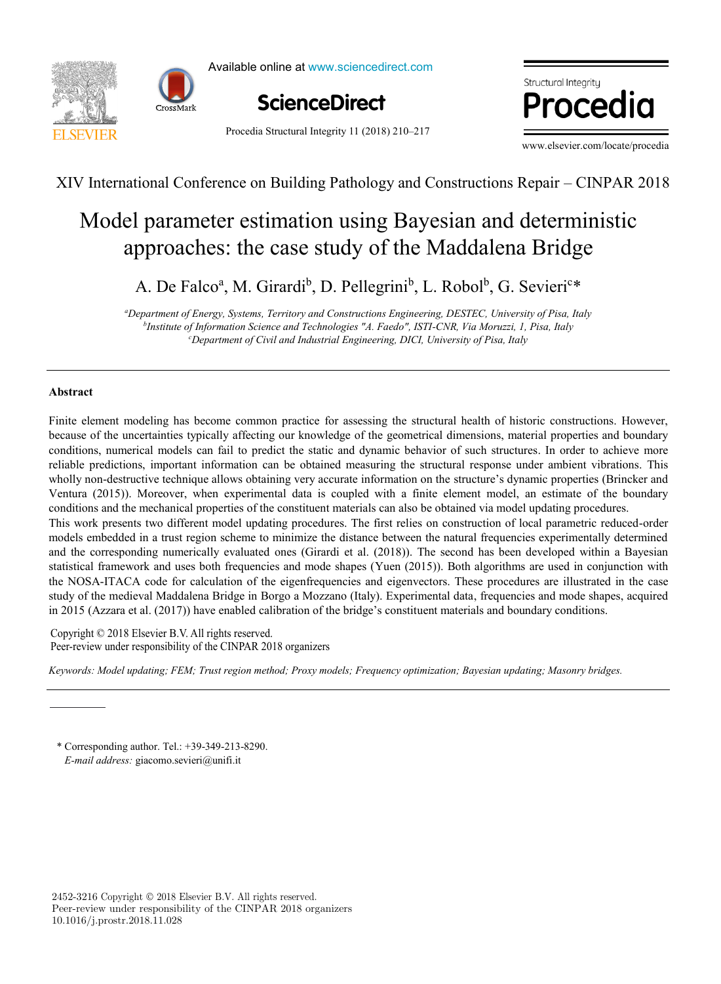



Available online at www.sciencedirect.com



Procedia Structural Integrity 11 (2018) 210–217

ww.elsevier.com/locate/procediate/proceding/ where  $\mathbb{R}^n$ ום זר

www.elsevier.com/locate/procedia

XIV International Conference on Building Pathology and Constructions Repair – CINPAR 2018

#### approaches: the case study of the Maddalena Bridge Model parameter estimation using Bayesian and deterministic Model parameter estimation using Bayesian and deterministic el parameter estimation using Bayesian and determinent  $\mathbf{P}$ ,  $\mathcal{L}$ \*

A. De Falco<sup>a</sup>, M. Girardi<sup>b</sup>, D. Pellegrini<sup>b</sup>, L. Robol<sup>b</sup>, G. Sevieri<sup>c\*</sup>

e<br>Department of Energy, Systems, Territory and Constructions Engineering, DESTEC, University of Pisa, Italy <sup>c</sup>Department of Civil and Industrial Engineering, DICI, University of Pisa, Italy *b Institute of Information Science and Technologies "A. Faedo", ISTI-CNR, Via Moruzzi, 1, Pisa, Italy Department of Civil and Industrial Engineering, DICI, University of Pisa, Italy*

*Department of Mechanical Engineering, Instituto Superior Técnico, Universidade de Lisboa, Av. Rovisco Pais, 1, 1049-001 Lisboa,*

#### *b* **Abstract** *IDMEC, Department of Mechanical Engineering, Instituto Superior Técnico, Universidade de Lisboa, Av. Rovisco Pais, 1, 1049-001 Lisboa,*  **Abstract**

Finite element modeling has become common practice for assessing the structural health of historic constructions. However, because of the uncertainties typically affecting our knowledge of the geometrical dimensions, material properties and boundary reliable predictions, important information can be obtained measuring the structural response under ambient vibrations. This Ventura (2015)). Moreover, when experimental data is coupled with a finite element model, an estimate of the boundary conditions and the mechanical properties of the constituent materials can also be obtained via model updating procedures. This work presents two different model updating procedures. The first relies on construction of local parametric reduced-order models embedded in a trust region scheme to minimize the distance between the natural frequencies experimentally determined and the corresponding numerically evaluated ones (Girardi et al. (2018)). The second has been developed within a Bayesian statistical framework and uses both frequencies and mode shapes (Yuen  $(2015)$ ). Both algorithms are used in conjunction with the NOSA-ITACA code for calculation of the eigenfrequencies and eigenvectors. These procedures are illustrated in the case study of the medieval Maddalena Bridge in Borgo a Mozzano (Italy). Experimental data, frequencies and mode shapes, acquired in 2015 (Azzara et al. (2017)) have enabled calibration of the bridge's constituent materials and boundary conditions. conditions, numerical models can fail to predict the static and dynamic behavior of such structures. In order to achieve more wholly non-destructive technique allows obtaining very accurate information on the structure's dynamic properties (Brincker and

model can be useful in the goal of predicting turbine blade life, given a set of FDR data. © 2016 The Authors. Published by Elsevier B.V. Copyright © 2018 Elsevier B.V. All rights reserved. Peer-review under responsibility of the CINPAR 2018 organizers Peer-review under responsibility of the CINPAR 2018 organizers Copyright © 2018 Elsevier B.V. All rights reserved. Copyright © 2018 Elsevier B.V. All rights reserved.

.<br>Keywords: Model updating; FEM; Trust region method; Proxy models; Frequency optimization; Bayesian updating; Masonry bridges. *Keywords: Model updating; FEM; Trust region method; Proxy models; Frequency optimization; Bayesian updating; Masonry bridges.*

*Keywords:* High Pressure Turbine Blade; Creep; Finite Element Method; 3D Model; Simulation.

*E-mail address:* giacomo.sevieri@unifi.it \* Corresponding author. Tel.: +39-349-213-8290.

2452-3216 Copyright © 2018 Elsevier B.V. All rights reserved. Peer-review under responsibility of the CINPAR 2018 organizers 10.1016/j.prostr.2018.11.028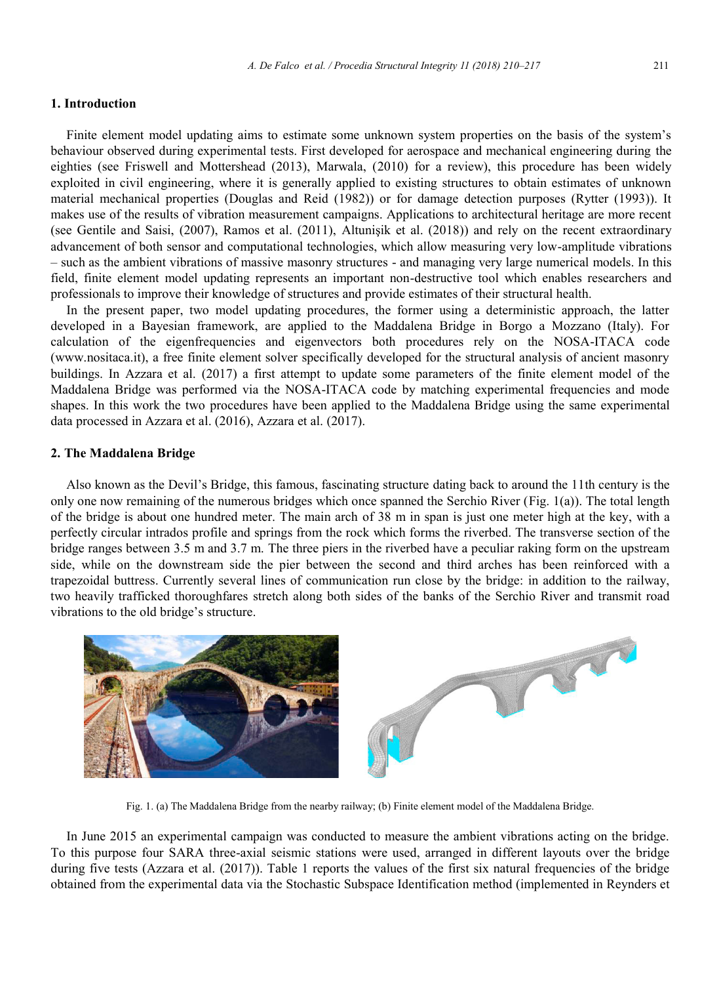## **1. Introduction**

Finite element model updating aims to estimate some unknown system properties on the basis of the system's behaviour observed during experimental tests. First developed for aerospace and mechanical engineering during the eighties (see Friswell and Mottershead (2013), Marwala, (2010) for a review), this procedure has been widely exploited in civil engineering, where it is generally applied to existing structures to obtain estimates of unknown material mechanical properties (Douglas and Reid (1982)) or for damage detection purposes (Rytter (1993)). It makes use of the results of vibration measurement campaigns. Applications to architectural heritage are more recent (see Gentile and Saisi, (2007), Ramos et al. (2011), Altunişik et al. (2018)) and rely on the recent extraordinary advancement of both sensor and computational technologies, which allow measuring very low-amplitude vibrations – such as the ambient vibrations of massive masonry structures - and managing very large numerical models. In this field, finite element model updating represents an important non-destructive tool which enables researchers and professionals to improve their knowledge of structures and provide estimates of their structural health.

In the present paper, two model updating procedures, the former using a deterministic approach, the latter developed in a Bayesian framework, are applied to the Maddalena Bridge in Borgo a Mozzano (Italy). For calculation of the eigenfrequencies and eigenvectors both procedures rely on the NOSA-ITACA code (www.nositaca.it), a free finite element solver specifically developed for the structural analysis of ancient masonry buildings. In Azzara et al. (2017) a first attempt to update some parameters of the finite element model of the Maddalena Bridge was performed via the NOSA-ITACA code by matching experimental frequencies and mode shapes. In this work the two procedures have been applied to the Maddalena Bridge using the same experimental data processed in Azzara et al. (2016), Azzara et al. (2017).

# **2. The Maddalena Bridge**

Also known as the Devil's Bridge, this famous, fascinating structure dating back to around the 11th century is the only one now remaining of the numerous bridges which once spanned the Serchio River (Fig. 1(a)). The total length of the bridge is about one hundred meter. The main arch of 38 m in span is just one meter high at the key, with a perfectly circular intrados profile and springs from the rock which forms the riverbed. The transverse section of the bridge ranges between 3.5 m and 3.7 m. The three piers in the riverbed have a peculiar raking form on the upstream side, while on the downstream side the pier between the second and third arches has been reinforced with a trapezoidal buttress. Currently several lines of communication run close by the bridge: in addition to the railway, two heavily trafficked thoroughfares stretch along both sides of the banks of the Serchio River and transmit road vibrations to the old bridge's structure.



Fig. 1. (a) The Maddalena Bridge from the nearby railway; (b) Finite element model of the Maddalena Bridge.

In June 2015 an experimental campaign was conducted to measure the ambient vibrations acting on the bridge. To this purpose four SARA three-axial seismic stations were used, arranged in different layouts over the bridge during five tests (Azzara et al. (2017)). Table 1 reports the values of the first six natural frequencies of the bridge obtained from the experimental data via the Stochastic Subspace Identification method (implemented in Reynders et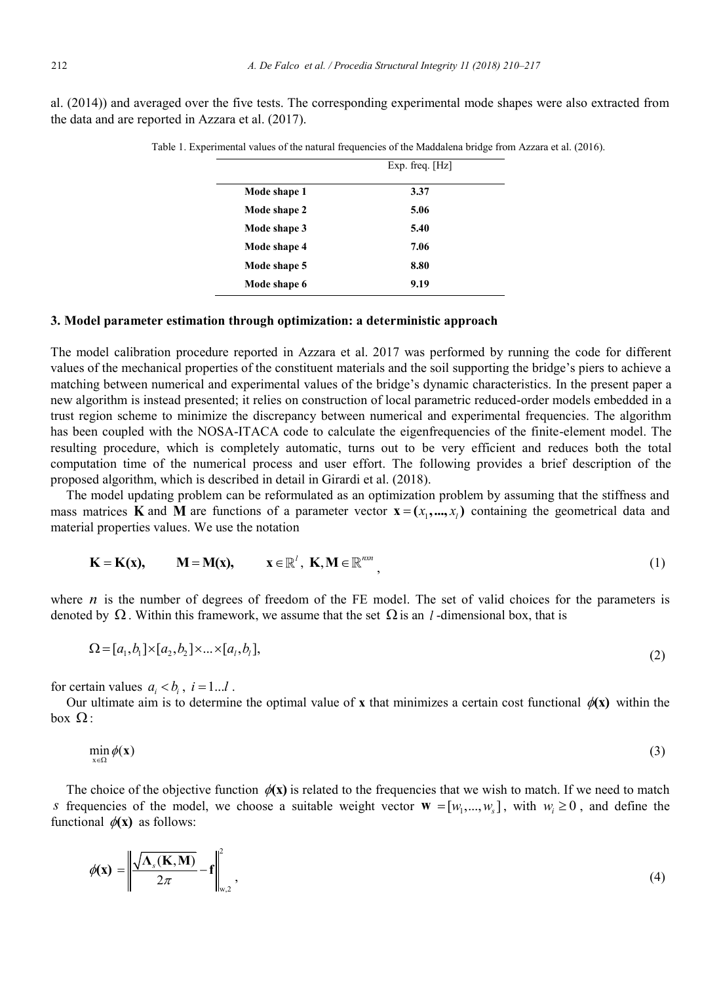al. (2014)) and averaged over the five tests. The corresponding experimental mode shapes were also extracted from the data and are reported in Azzara et al. (2017).

|              | Exp. freq. $[Hz]$ |  |
|--------------|-------------------|--|
| Mode shape 1 | 3.37              |  |
| Mode shape 2 | 5.06              |  |
| Mode shape 3 | 5.40              |  |
| Mode shape 4 | 7.06              |  |
| Mode shape 5 | 8.80              |  |
| Mode shape 6 | 9.19              |  |

Table 1. Experimental values of the natural frequencies of the Maddalena bridge from Azzara et al. (2016).

## **3. Model parameter estimation through optimization: a deterministic approach**

The model calibration procedure reported in Azzara et al. 2017 was performed by running the code for different values of the mechanical properties of the constituent materials and the soil supporting the bridge's piers to achieve a matching between numerical and experimental values of the bridge's dynamic characteristics. In the present paper a new algorithm is instead presented; it relies on construction of local parametric reduced-order models embedded in a trust region scheme to minimize the discrepancy between numerical and experimental frequencies. The algorithm has been coupled with the NOSA-ITACA code to calculate the eigenfrequencies of the finite-element model. The resulting procedure, which is completely automatic, turns out to be very efficient and reduces both the total computation time of the numerical process and user effort. The following provides a brief description of the proposed algorithm, which is described in detail in Girardi et al. (2018).

The model updating problem can be reformulated as an optimization problem by assuming that the stiffness and mass matrices **K** and **M** are functions of a parameter vector  $\mathbf{x} = (x_1, ..., x_n)$  containing the geometrical data and material properties values. We use the notation

$$
\mathbf{K} = \mathbf{K}(\mathbf{x}), \qquad \mathbf{M} = \mathbf{M}(\mathbf{x}), \qquad \mathbf{x} \in \mathbb{R}^l, \ \mathbf{K}, \mathbf{M} \in \mathbb{R}^{n m}, \tag{1}
$$

where  $n$  is the number of degrees of freedom of the FE model. The set of valid choices for the parameters is denoted by  $\Omega$ . Within this framework, we assume that the set  $\Omega$  is an *l* -dimensional box, that is

$$
\Omega = [a_1, b_1] \times [a_2, b_2] \times ... \times [a_l, b_l],\tag{2}
$$

for certain values  $a_i < b_i$ ,  $i = 1...l$ .

Our ultimate aim is to determine the optimal value of **x** that minimizes a certain cost functional  $\phi(\mathbf{x})$  within the box  $\Omega$ :

$$
\min_{x \in \Omega} \phi(x) \tag{3}
$$

The choice of the objective function  $\phi(x)$  is related to the frequencies that we wish to match. If we need to match *s* frequencies of the model, we choose a suitable weight vector  $\mathbf{w} = [w_1, ..., w_s]$ , with  $w_i \ge 0$ , and define the functional  $\phi(\mathbf{x})$  as follows:

$$
\phi(\mathbf{x}) = \left\| \frac{\sqrt{\Lambda_s(\mathbf{K}, \mathbf{M})}}{2\pi} - \mathbf{f} \right\|_{\mathbf{w}, 2}^2,
$$
\n(4)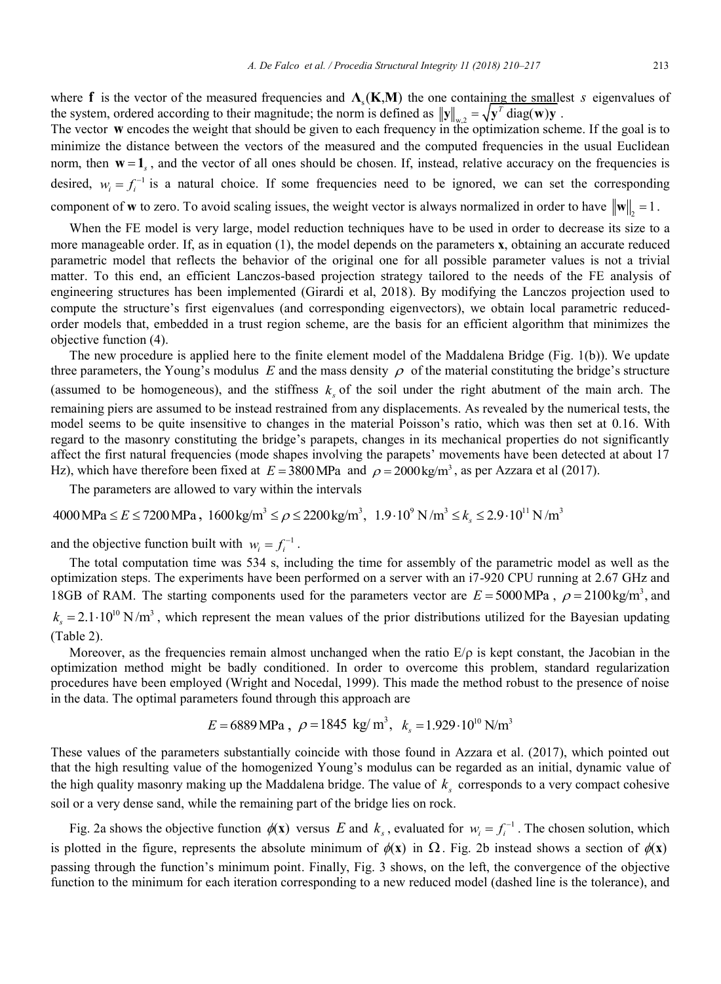where **f** is the vector of the measured frequencies and  $\Lambda_{\rm s}(\mathbf{K}, \mathbf{M})$  the one containing the smallest *s* eigenvalues of the system, ordered according to their magnitude; the norm is defined as  $||y||_{w2} = \sqrt{y^T}$  diag(**w**)**y**.

The vector **w** encodes the weight that should be given to each frequency in the optimization scheme. If the goal is to minimize the distance between the vectors of the measured and the computed frequencies in the usual Euclidean norm, then  $w = 1$ , and the vector of all ones should be chosen. If, instead, relative accuracy on the frequencies is desired,  $w_i = f_i^{-1}$  is a natural choice. If some frequencies need to be ignored, we can set the corresponding component of **w** to zero. To avoid scaling issues, the weight vector is always normalized in order to have  $\|\mathbf{w}\|_{\gamma} = 1$ .

When the FE model is very large, model reduction techniques have to be used in order to decrease its size to a more manageable order. If, as in equation (1), the model depends on the parameters **x**, obtaining an accurate reduced parametric model that reflects the behavior of the original one for all possible parameter values is not a trivial matter. To this end, an efficient Lanczos-based projection strategy tailored to the needs of the FE analysis of engineering structures has been implemented (Girardi et al, 2018). By modifying the Lanczos projection used to compute the structure's first eigenvalues (and corresponding eigenvectors), we obtain local parametric reducedorder models that, embedded in a trust region scheme, are the basis for an efficient algorithm that minimizes the objective function (4).

The new procedure is applied here to the finite element model of the Maddalena Bridge (Fig. 1(b)). We update three parameters, the Young's modulus  $E$  and the mass density  $\rho$  of the material constituting the bridge's structure (assumed to be homogeneous), and the stiffness  $k<sub>s</sub>$  of the soil under the right abutment of the main arch. The remaining piers are assumed to be instead restrained from any displacements. As revealed by the numerical tests, the model seems to be quite insensitive to changes in the material Poisson's ratio, which was then set at 0.16. With regard to the masonry constituting the bridge's parapets, changes in its mechanical properties do not significantly affect the first natural frequencies (mode shapes involving the parapets' movements have been detected at about 17 Hz), which have therefore been fixed at  $E = 3800 \text{ MPa}$  and  $\rho = 2000 \text{ kg/m}^3$ , as per Azzara et al (2017).

The parameters are allowed to vary within the intervals

 $4000 \text{ MPa} \le E \le 7200 \text{ MPa}$ ,  $1600 \text{ kg/m}^3 \le \rho \le 2200 \text{ kg/m}^3$ ,  $1.9 \cdot 10^9 \text{ N/m}^3 \le k_{\text{s}} \le 2.9 \cdot 10^{11} \text{ N/m}^3$ 

and the objective function built with  $w_i = f_i^{-1}$ .

The total computation time was 534 s, including the time for assembly of the parametric model as well as the optimization steps. The experiments have been performed on a server with an i7-920 CPU running at 2.67 GHz and 18GB of RAM. The starting components used for the parameters vector are  $E = 5000 \text{ MPa}$ ,  $\rho = 2100 \text{ kg/m}^3$ , and  $k<sub>s</sub> = 2.1 \cdot 10<sup>10</sup>$  N/m<sup>3</sup>, which represent the mean values of the prior distributions utilized for the Bayesian updating (Table 2).

Moreover, as the frequencies remain almost unchanged when the ratio  $E/\rho$  is kept constant, the Jacobian in the optimization method might be badly conditioned. In order to overcome this problem, standard regularization procedures have been employed (Wright and Nocedal, 1999). This made the method robust to the presence of noise in the data. The optimal parameters found through this approach are

$$
E = 6889 \text{ MPa}
$$
,  $\rho = 1845 \text{ kg/m}^3$ ,  $k_s = 1.929 \cdot 10^{10} \text{ N/m}^3$ 

These values of the parameters substantially coincide with those found in Azzara et al. (2017), which pointed out that the high resulting value of the homogenized Young's modulus can be regarded as an initial, dynamic value of the high quality masonry making up the Maddalena bridge. The value of  $k<sub>s</sub>$  corresponds to a very compact cohesive soil or a very dense sand, while the remaining part of the bridge lies on rock.

Fig. 2a shows the objective function  $\phi(\mathbf{x})$  versus *E* and  $k_s$ , evaluated for  $w_i = f_i^{-1}$ . The chosen solution, which is plotted in the figure, represents the absolute minimum of  $\phi(\mathbf{x})$  in  $\Omega$ . Fig. 2b instead shows a section of  $\phi(\mathbf{x})$ passing through the function's minimum point. Finally, Fig. 3 shows, on the left, the convergence of the objective function to the minimum for each iteration corresponding to a new reduced model (dashed line is the tolerance), and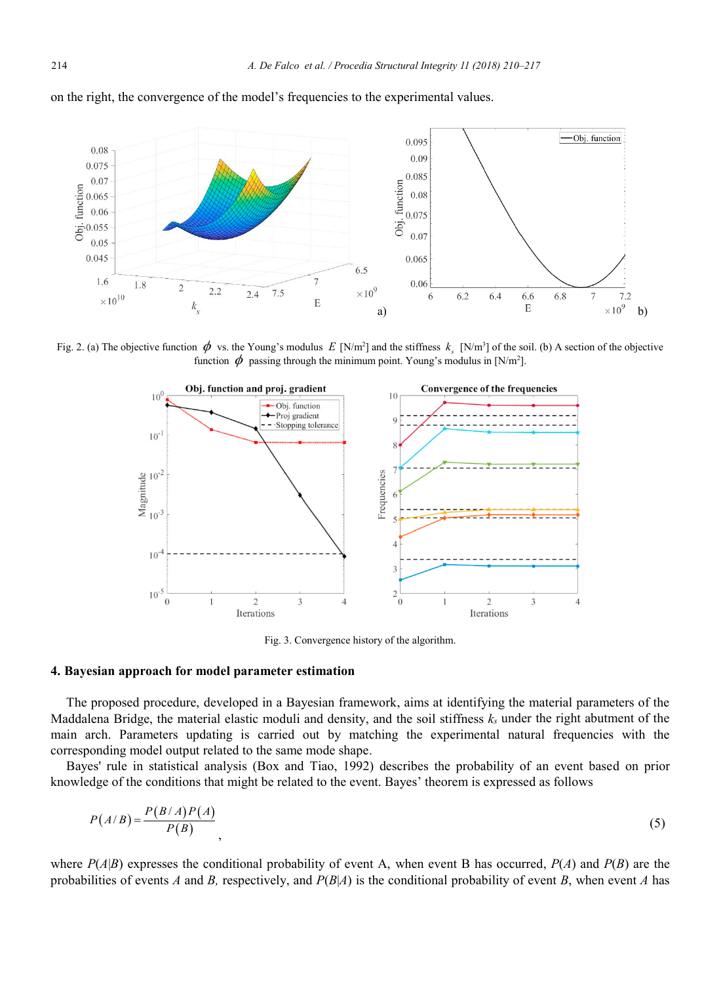

on the right, the convergence of the model's frequencies to the experimental values.

Fig. 2. (a) The objective function  $\phi$  vs. the Young's modulus *E* [N/m<sup>2</sup>] and the stiffness  $k_s$  [N/m<sup>3</sup>] of the soil. (b) A section of the objective function  $\phi$  passing through the minimum point. Young's modulus in [N/m<sup>2</sup>].



Fig. 3. Convergence history of the algorithm.

### **4. Bayesian approach for model parameter estimation**

The proposed procedure, developed in a Bayesian framework, aims at identifying the material parameters of the Maddalena Bridge, the material elastic moduli and density, and the soil stiffness  $k_s$  under the right abutment of the main arch. Parameters updating is carried out by matching the experimental natural frequencies with the corresponding model output related to the same mode shape.

Bayes' rule in statistical analysis (Box and Tiao, 1992) describes the probability of an event based on prior knowledge of the conditions that might be related to the event. Bayes' theorem is expressed as follows

$$
P(A/B) = \frac{P(B/A)P(A)}{P(B)},
$$
\n<sup>(5)</sup>

where  $P(A|B)$  expresses the conditional probability of event A, when event B has occurred,  $P(A)$  and  $P(B)$  are the probabilities of events *A* and *B,* respectively, and *P*(*B*|*A*) is the conditional probability of event *B*, when event *A* has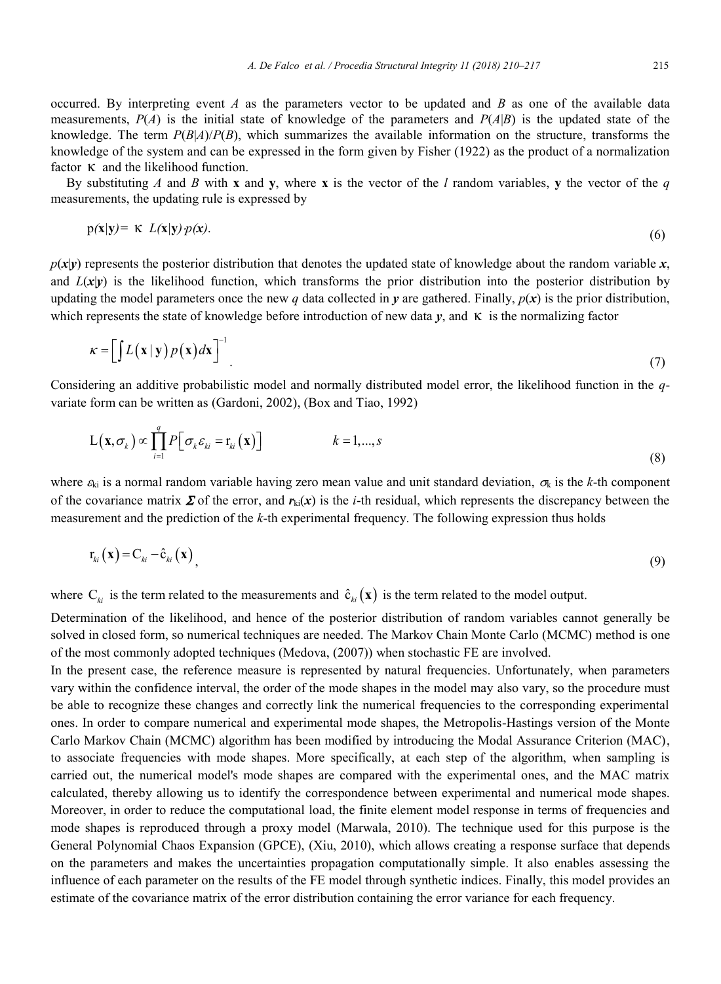occurred. By interpreting event *A* as the parameters vector to be updated and *B* as one of the available data measurements,  $P(A)$  is the initial state of knowledge of the parameters and  $P(A|B)$  is the updated state of the knowledge. The term  $P(B|A)/P(B)$ , which summarizes the available information on the structure, transforms the knowledge of the system and can be expressed in the form given by Fisher (1922) as the product of a normalization factor  $\kappa$  and the likelihood function.

By substituting *A* and *B* with **x** and **y**, where **x** is the vector of the *l* random variables, **y** the vector of the *q* measurements, the updating rule is expressed by

$$
p(x|y) = K L(x|y) p(x).
$$
 (6)

 $p(x|y)$  represents the posterior distribution that denotes the updated state of knowledge about the random variable *x*, and  $L(x|y)$  is the likelihood function, which transforms the prior distribution into the posterior distribution by updating the model parameters once the new *q* data collected in *y* are gathered. Finally,  $p(x)$  is the prior distribution, which represents the state of knowledge before introduction of new data  $y$ , and  $\kappa$  is the normalizing factor

$$
\kappa = \left[ \int L(\mathbf{x} \mid \mathbf{y}) p(\mathbf{x}) d\mathbf{x} \right]^{-1} \tag{7}
$$

Considering an additive probabilistic model and normally distributed model error, the likelihood function in the *q*variate form can be written as (Gardoni, 2002), (Box and Tiao, 1992)

$$
L(\mathbf{x}, \sigma_k) \propto \prod_{i=1}^{q} P\big[\sigma_k \varepsilon_{ki} = r_{ki}(\mathbf{x})\big] \qquad k = 1, ..., s \qquad (8)
$$

where  $\varepsilon_{ki}$  is a normal random variable having zero mean value and unit standard deviation,  $\sigma_k$  is the *k*-th component of the covariance matrix  $\Sigma$  of the error, and  $r_{ki}(x)$  is the *i*-th residual, which represents the discrepancy between the measurement and the prediction of the *k*-th experimental frequency. The following expression thus holds

$$
r_{ki}(\mathbf{x}) = C_{ki} - \hat{c}_{ki}(\mathbf{x})\tag{9}
$$

where  $C_{ki}$  is the term related to the measurements and  $\hat{c}_{ki}(\mathbf{x})$  is the term related to the model output.

Determination of the likelihood, and hence of the posterior distribution of random variables cannot generally be solved in closed form, so numerical techniques are needed. The Markov Chain Monte Carlo (MCMC) method is one of the most commonly adopted techniques (Medova, (2007)) when stochastic FE are involved.

In the present case, the reference measure is represented by natural frequencies. Unfortunately, when parameters vary within the confidence interval, the order of the mode shapes in the model may also vary, so the procedure must be able to recognize these changes and correctly link the numerical frequencies to the corresponding experimental ones. In order to compare numerical and experimental mode shapes, the Metropolis-Hastings version of the Monte Carlo Markov Chain (MCMC) algorithm has been modified by introducing the Modal Assurance Criterion (MAC), to associate frequencies with mode shapes. More specifically, at each step of the algorithm, when sampling is carried out, the numerical model's mode shapes are compared with the experimental ones, and the MAC matrix calculated, thereby allowing us to identify the correspondence between experimental and numerical mode shapes. Moreover, in order to reduce the computational load, the finite element model response in terms of frequencies and mode shapes is reproduced through a proxy model (Marwala, 2010). The technique used for this purpose is the General Polynomial Chaos Expansion (GPCE), (Xiu, 2010), which allows creating a response surface that depends on the parameters and makes the uncertainties propagation computationally simple. It also enables assessing the influence of each parameter on the results of the FE model through synthetic indices. Finally, this model provides an estimate of the covariance matrix of the error distribution containing the error variance for each frequency.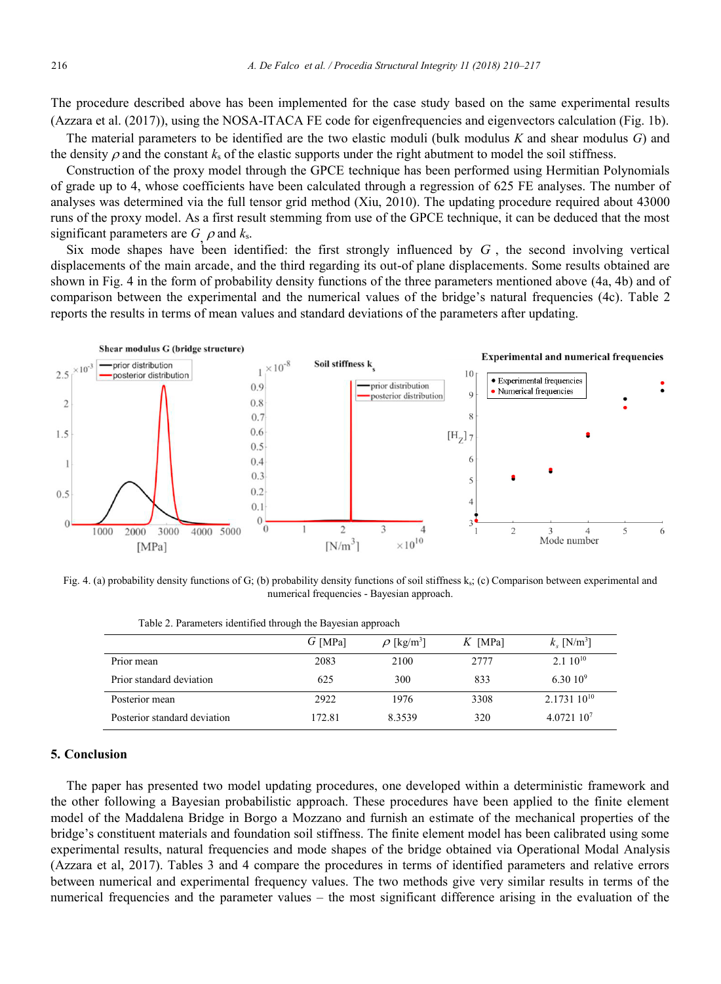The procedure described above has been implemented for the case study based on the same experimental results (Azzara et al. (2017)), using the NOSA-ITACA FE code for eigenfrequencies and eigenvectors calculation (Fig. 1b).

The material parameters to be identified are the two elastic moduli (bulk modulus *K* and shear modulus *G*) and the density  $\rho$  and the constant  $k_s$  of the elastic supports under the right abutment to model the soil stiffness.

Construction of the proxy model through the GPCE technique has been performed using Hermitian Polynomials of grade up to 4, whose coefficients have been calculated through a regression of 625 FE analyses. The number of analyses was determined via the full tensor grid method (Xiu, 2010). The updating procedure required about 43000 runs of the proxy model. As a first result stemming from use of the GPCE technique, it can be deduced that the most significant parameters are  $G$   $\rho$  and  $k_s$ .

Six mode shapes have been identified: the first strongly influenced by  $G$ , the second involving vertical displacements of the main arcade, and the third regarding its out-of plane displacements. Some results obtained are shown in Fig. 4 in the form of probability density functions of the three parameters mentioned above (4a, 4b) and of comparison between the experimental and the numerical values of the bridge's natural frequencies (4c). Table 2 reports the results in terms of mean values and standard deviations of the parameters after updating.



Fig. 4. (a) probability density functions of G; (b) probability density functions of soil stiffness ks; (c) Comparison between experimental and numerical frequencies - Bayesian approach.

|                              | $G$ [MPa] | $\rho$ [kg/m <sup>3</sup> ] | $K$ [MPa] | $k_{\rm s}$ [N/m <sup>3</sup> ] |
|------------------------------|-----------|-----------------------------|-----------|---------------------------------|
| Prior mean                   | 2083      | 2100                        | 2777      | $2.110^{10}$                    |
| Prior standard deviation     | 625       | 300                         | 833       | 6.30 $10^9$                     |
| Posterior mean               | 2922      | 1976                        | 3308      | $2.173110^{10}$                 |
| Posterior standard deviation | 172.81    | 8.3539                      | 320       | 4.0721 107                      |

Table 2. Parameters identified through the Bayesian approach

## **5. Conclusion**

The paper has presented two model updating procedures, one developed within a deterministic framework and the other following a Bayesian probabilistic approach. These procedures have been applied to the finite element model of the Maddalena Bridge in Borgo a Mozzano and furnish an estimate of the mechanical properties of the bridge's constituent materials and foundation soil stiffness. The finite element model has been calibrated using some experimental results, natural frequencies and mode shapes of the bridge obtained via Operational Modal Analysis (Azzara et al, 2017). Tables 3 and 4 compare the procedures in terms of identified parameters and relative errors between numerical and experimental frequency values. The two methods give very similar results in terms of the numerical frequencies and the parameter values – the most significant difference arising in the evaluation of the